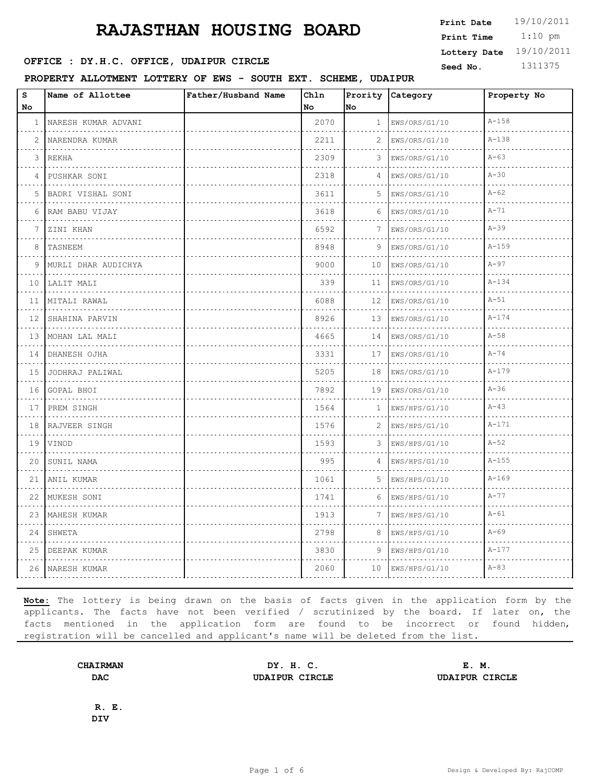**OFFICE : DY.H.C. OFFICE, UDAIPUR CIRCLE** Seed No. 1311375

**PROPERTY ALLOTMENT LOTTERY OF EWS - SOUTH EXT. SCHEME, UDAIPUR**

| $\bf s$      | Name of Allottee    | Father/Husband Name | Chln |              | Prority Category   | Property No |
|--------------|---------------------|---------------------|------|--------------|--------------------|-------------|
| No           |                     |                     | No   | No           |                    |             |
| $\mathbf{1}$ | NARESH KUMAR ADVANI |                     | 2070 | $\mathbf{1}$ | EWS/ORS/G1/10      | $A - 158$   |
| 2            | NARENDRA KUMAR      |                     | 2211 | 2            | EWS/ORS/G1/10      | $A - 138$   |
| 3            | <b>REKHA</b>        |                     | 2309 | 3            | EWS/ORS/G1/10      | $A - 63$    |
| 4            | PUSHKAR SONI        |                     | 2318 | 4            | EWS/ORS/G1/10      | $A-30$      |
| 5            | BADRI VISHAL SONI   |                     | 3611 | 5            | EWS/ORS/G1/10<br>. | $A - 62$    |
| 6            | RAM BABU VIJAY      |                     | 3618 | 6            | EWS/ORS/G1/10      | $A-71$      |
| 7            | ZINI KHAN           |                     | 6592 | 7            | EWS/ORS/G1/10      | $A-39$      |
| 8            | TASNEEM             |                     | 8948 | 9            | EWS/ORS/G1/10      | $A - 159$   |
| 9            | MURLI DHAR AUDICHYA |                     | 9000 | 10           | EWS/ORS/G1/10      | $A - 97$    |
| 10           | LALIT MALI          |                     | 339  | 11           | EWS/ORS/G1/10      | $A - 134$   |
| 11           | MITALI RAWAL        |                     | 6088 | 12           | EWS/ORS/G1/10      | $A-51$      |
| 12           | SHAHINA PARVIN      |                     | 8926 | 13           | EWS/ORS/G1/10      | $A - 174$   |
| 13           | MOHAN LAL MALI<br>. |                     | 4665 | 14           | EWS/ORS/G1/10      | $A - 58$    |
| 14           | DHANESH OJHA        |                     | 3331 | 17           | EWS/ORS/G1/10      | $A - 74$    |
| 15           | JODHRAJ PALIWAL     |                     | 5205 | 18           | EWS/ORS/G1/10      | $A - 179$   |
| 16           | GOPAL BHOI          |                     | 7892 | 19           | EWS/ORS/G1/10      | $A-36$      |
| 17           | PREM SINGH          |                     | 1564 | 1            | EWS/HPS/G1/10      | $A - 43$    |
| 18           | RAJVEER SINGH       |                     | 1576 | 2            | EWS/HPS/G1/10      | $A - 171$   |
| 19           | VINOD               |                     | 1593 | 3            | EWS/HPS/G1/10      | $A - 52$    |
| 20           | SUNIL NAMA          |                     | 995  | 4            | EWS/HPS/G1/10      | $A - 155$   |
| 21           | ANIL KUMAR          |                     | 1061 | 5            | EWS/HPS/G1/10      | $A - 169$   |
| 22           | MUKESH SONI         |                     | 1741 | 6            | EWS/HPS/G1/10      | $A - 77$    |
| 23           | MAHESH KUMAR        |                     | 1913 | 7            | EWS/HPS/G1/10      | $A - 61$    |
| 24           | SHWETA              |                     | 2798 | 8            | EWS/HPS/G1/10      | $A - 69$    |
| 25           | DEEPAK KUMAR        |                     | 3830 | 9            | EWS/HPS/G1/10      | $A - 177$   |
| 26           | NARESH KUMAR        |                     | 2060 | 10           | EWS/HPS/G1/10      | $A - 83$    |

**Note:** The lottery is being drawn on the basis of facts given in the application form by the applicants. The facts have not been verified / scrutinized by the board. If later on, the facts mentioned in the application form are found to be incorrect or found hidden, registration will be cancelled and applicant's name will be deleted from the list.

**CHAIRMAN DY. H. C. E. M. DAC UDAIPUR CIRCLE UDAIPUR CIRCLE**

**R. E. DIV**

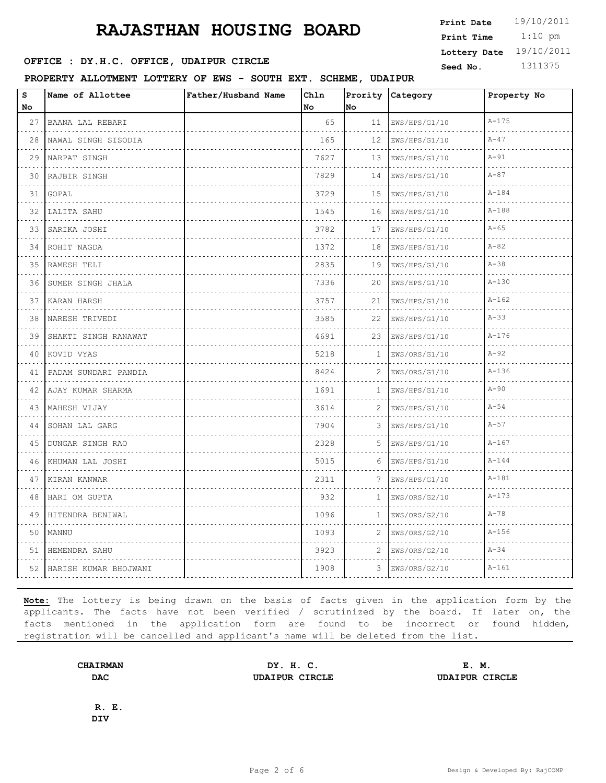**OFFICE : DY.H.C. OFFICE, UDAIPUR CIRCLE** Seed No. 1311375

**PROPERTY ALLOTMENT LOTTERY OF EWS - SOUTH EXT. SCHEME, UDAIPUR**

| $\bf s$ | Name of Allottee       | Father/Husband Name | Chln |              | Prority Category | Property No |
|---------|------------------------|---------------------|------|--------------|------------------|-------------|
| No      |                        |                     | No   | No           |                  |             |
| 27      | BAANA LAL REBARI       |                     | 65   | 11           | EWS/HPS/G1/10    | $A - 175$   |
| 28      | NAWAL SINGH SISODIA    |                     | 165  | 12           | EWS/HPS/G1/10    | $A-47$      |
| 29      | NARPAT SINGH           |                     | 7627 | 13           | EWS/HPS/G1/10    | $A-91$      |
| 30      | RAJBIR SINGH           |                     | 7829 | 14           | EWS/HPS/G1/10    | $A - 87$    |
| 31      | GOPAL                  |                     | 3729 | 15           | EWS/HPS/G1/10    | $A - 184$   |
| 32      | LALITA SAHU            |                     | 1545 | 16           | EWS/HPS/G1/10    | $A - 188$   |
| 33      | SARIKA JOSHI           |                     | 3782 | 17           | EWS/HPS/G1/10    | $A - 65$    |
| 34      | ROHIT NAGDA            |                     | 1372 | 18           | EWS/HPS/G1/10    | $A - 82$    |
| 35      | RAMESH TELI            |                     | 2835 | 19           | EWS/HPS/G1/10    | $A - 38$    |
| 36      | SUMER SINGH JHALA      |                     | 7336 | 20           | EWS/HPS/G1/10    | $A - 130$   |
| 37      | KARAN HARSH            |                     | 3757 | 21           | EWS/HPS/G1/10    | $A - 162$   |
| 38      | NARESH TRIVEDI         |                     | 3585 | 22           | EWS/HPS/G1/10    | $A - 33$    |
| 39      | SHAKTI SINGH RANAWAT   |                     | 4691 | 23           | EWS/HPS/G1/10    | $A - 176$   |
| 40      | KOVID VYAS             |                     | 5218 | $\mathbf{1}$ | EWS/ORS/G1/10    | $A - 92$    |
| 41      | PADAM SUNDARI PANDIA   |                     | 8424 | 2            | EWS/ORS/G1/10    | $A - 136$   |
| 42      | AJAY KUMAR SHARMA<br>. |                     | 1691 | 1            | EWS/HPS/G1/10    | $A - 90$    |
| 43      | MAHESH VIJAY           |                     | 3614 | 2            | EWS/HPS/G1/10    | $A - 54$    |
| 44      | SOHAN LAL GARG<br>.    |                     | 7904 | 3            | EWS/HPS/G1/10    | $A-57$      |
| 45      | DUNGAR SINGH RAO<br>.  |                     | 2328 | 5            | EWS/HPS/G1/10    | $A - 167$   |
| 46      | KHUMAN LAL JOSHI       |                     | 5015 | 6            | EWS/HPS/G1/10    | $A - 144$   |
| 47      | KIRAN KANWAR<br>.      |                     | 2311 | 7            | EWS/HPS/G1/10    | $A - 181$   |
| 48      | HARI OM GUPTA          |                     | 932  | $\mathbf{1}$ | EWS/ORS/G2/10    | $A - 173$   |
| 49      | HITENDRA BENIWAL       |                     | 1096 | $\mathbf{1}$ | EWS/ORS/G2/10    | $A - 78$    |
| 50      | MANNU                  |                     | 1093 | 2            | EWS/ORS/G2/10    | $A-156$     |
| 51      | HEMENDRA SAHU          |                     | 3923 | 2            | EWS/ORS/G2/10    | $A - 34$    |
| 52      | HARISH KUMAR BHOJWANI  |                     | 1908 | 3            | EWS/ORS/G2/10    | $A - 161$   |

**Note:** The lottery is being drawn on the basis of facts given in the application form by the applicants. The facts have not been verified / scrutinized by the board. If later on, the facts mentioned in the application form are found to be incorrect or found hidden, registration will be cancelled and applicant's name will be deleted from the list.

**CHAIRMAN DY. H. C. E. M. DAC UDAIPUR CIRCLE UDAIPUR CIRCLE**

**R. E. DIV**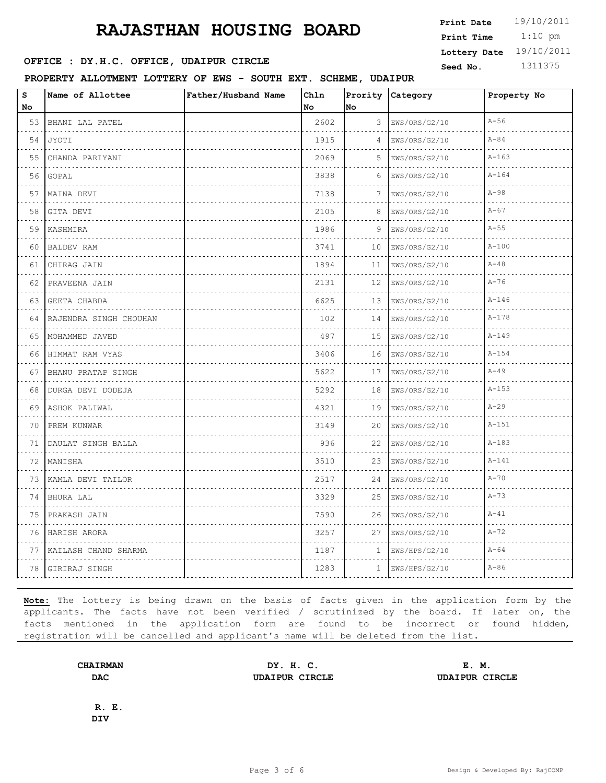**OFFICE : DY.H.C. OFFICE, UDAIPUR CIRCLE** Seed No. 1311375

**PROPERTY ALLOTMENT LOTTERY OF EWS - SOUTH EXT. SCHEME, UDAIPUR**

| $\bf s$   | Name of Allottee         | Father/Husband Name | Ch1n |              | Prority Category   | Property No |
|-----------|--------------------------|---------------------|------|--------------|--------------------|-------------|
| No        |                          |                     | No   | No           |                    |             |
| 53        | BHANI LAL PATEL          |                     | 2602 | 3            | EWS/ORS/G2/10      | $A-56$      |
| 54<br>.   | JYOTI                    |                     | 1915 | 4            | EWS/ORS/G2/10      | $A - 84$    |
| 55        | CHANDA PARIYANI          |                     | 2069 | 5            | EWS/ORS/G2/10      | $A - 163$   |
| 56        | GOPAL                    |                     | 3838 | 6            | EWS/ORS/G2/10      | $A - 164$   |
| 57        | MAINA DEVI               |                     | 7138 | 7            | EWS/ORS/G2/10<br>. | $A - 98$    |
| 58        | GITA DEVI                |                     | 2105 | 8            | EWS/ORS/G2/10      | $A - 67$    |
| 59        | KASHMIRA                 |                     | 1986 | 9            | EWS/ORS/G2/10      | $A-55$      |
| 60<br>.   | <b>BALDEV RAM</b><br>.   |                     | 3741 | 10           | EWS/ORS/G2/10      | $A - 100$   |
| 61        | CHIRAG JAIN              |                     | 1894 | 11           | EWS/ORS/G2/10      | $A - 48$    |
| 62        | PRAVEENA JAIN            |                     | 2131 | 12           | EWS/ORS/G2/10      | $A-76$      |
| 63  <br>. | <b>GEETA CHABDA</b><br>. |                     | 6625 | 13           | EWS/ORS/G2/10      | $A - 146$   |
| 64        | RAJENDRA SINGH CHOUHAN   |                     | 102  | 14           | EWS/ORS/G2/10      | $A - 178$   |
| 65        | MOHAMMED JAVED<br>.      |                     | 497  | 15           | EWS/ORS/G2/10      | $A - 149$   |
| 66        | HIMMAT RAM VYAS          |                     | 3406 | 16           | EWS/ORS/G2/10      | $A - 154$   |
| 67        | BHANU PRATAP SINGH       |                     | 5622 | 17           | EWS/ORS/G2/10      | $A - 49$    |
| 68        | DURGA DEVI DODEJA        |                     | 5292 | 18           | EWS/ORS/G2/10      | $A - 153$   |
| 69        | ASHOK PALIWAL            |                     | 4321 | 19           | EWS/ORS/G2/10      | $A-29$      |
| 70        | PREM KUNWAR              |                     | 3149 | 20           | EWS/ORS/G2/10      | $A - 151$   |
| 71        | DAULAT SINGH BALLA       |                     | 936  | 22           | EWS/ORS/G2/10      | $A - 183$   |
| 72        | MANISHA                  |                     | 3510 | 23           | EWS/ORS/G2/10      | $A - 141$   |
| 73        | KAMLA DEVI TAILOR<br>.   |                     | 2517 | 24           | EWS/ORS/G2/10      | $A-70$      |
| 74        | BHURA LAL                |                     | 3329 | 25           | EWS/ORS/G2/10      | $A - 73$    |
| 75        | PRAKASH JAIN             |                     | 7590 | 26           | EWS/ORS/G2/10      | $A - 41$    |
| 76        | HARISH ARORA             |                     | 3257 | 27           | EWS/ORS/G2/10      | $A - 72$    |
| 77        | KAILASH CHAND SHARMA     |                     | 1187 | $\mathbf{1}$ | EWS/HPS/G2/10      | $A - 64$    |
| 78        | GIRIRAJ SINGH            |                     | 1283 | 1            | EWS/HPS/G2/10      | $A-86$      |

**Note:** The lottery is being drawn on the basis of facts given in the application form by the applicants. The facts have not been verified / scrutinized by the board. If later on, the facts mentioned in the application form are found to be incorrect or found hidden, registration will be cancelled and applicant's name will be deleted from the list.

**CHAIRMAN DY. H. C. E. M. DAC UDAIPUR CIRCLE UDAIPUR CIRCLE**

**R. E. DIV**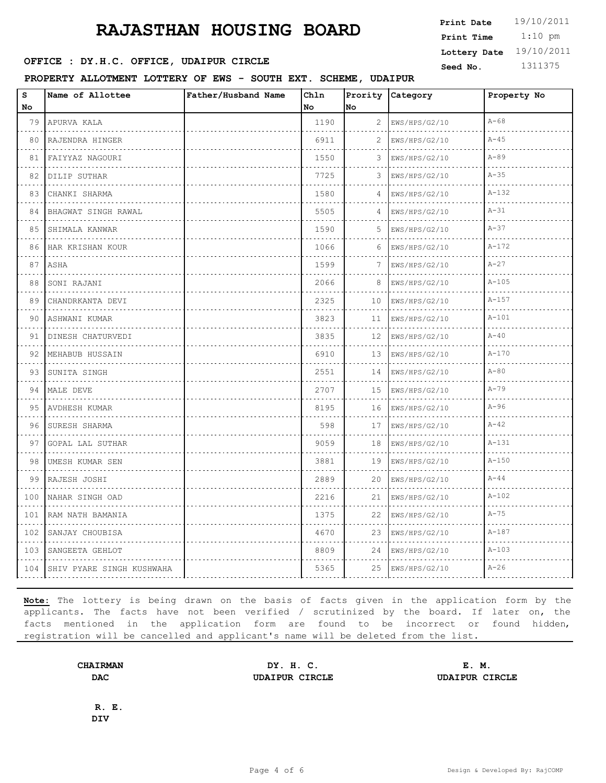**OFFICE : DY.H.C. OFFICE, UDAIPUR CIRCLE** Seed No. 1311375

**PROPERTY ALLOTMENT LOTTERY OF EWS - SOUTH EXT. SCHEME, UDAIPUR**

| $\bf s$                            | Name of Allottee          | Father/Husband Name | Chln |    | Prority Category | Property No |
|------------------------------------|---------------------------|---------------------|------|----|------------------|-------------|
| No                                 |                           |                     | No   | No |                  |             |
| 79                                 | APURVA KALA               |                     | 1190 | 2  | EWS/HPS/G2/10    | $A - 68$    |
| 80                                 | RAJENDRA HINGER           |                     | 6911 | 2  | EWS/HPS/G2/10    | $A - 45$    |
| 81                                 | FAIYYAZ NAGOURI           |                     | 1550 | 3  | EWS/HPS/G2/10    | $A - 89$    |
| 82                                 | DILIP SUTHAR<br>.         |                     | 7725 | 3  | EWS/HPS/G2/10    | $A - 35$    |
| 83                                 | CHANKI SHARMA             |                     | 1580 | 4  | EWS/HPS/G2/10    | $A - 132$   |
| 84                                 | BHAGWAT SINGH RAWAL<br>.  |                     | 5505 | 4  | EWS/HPS/G2/10    | $A-31$      |
| 85                                 | SHIMALA KANWAR<br>.       |                     | 1590 | 5  | EWS/HPS/G2/10    | $A - 37$    |
| 86                                 | HAR KRISHAN KOUR          |                     | 1066 | 6  | EWS/HPS/G2/10    | $A - 172$   |
| 87                                 | ASHA                      |                     | 1599 | 7  | EWS/HPS/G2/10    | $A-27$      |
| 88                                 | SONI RAJANI               |                     | 2066 | 8  | EWS/HPS/G2/10    | $A - 105$   |
| 89                                 | CHANDRKANTA DEVI          |                     | 2325 | 10 | EWS/HPS/G2/10    | $A - 157$   |
| 90                                 | ASHWANI KUMAR             |                     | 3823 | 11 | EWS/HPS/G2/10    | $A - 101$   |
| 91                                 | DINESH CHATURVEDI         |                     | 3835 | 12 | EWS/HPS/G2/10    | $A-40$      |
| 92                                 | MEHABUB HUSSAIN           |                     | 6910 | 13 | EWS/HPS/G2/10    | $A - 170$   |
| 93                                 | SUNITA SINGH              |                     | 2551 | 14 | EWS/HPS/G2/10    | $A-80$      |
| 94                                 | MALE DEVE                 |                     | 2707 | 15 | EWS/HPS/G2/10    | $A - 79$    |
| 95                                 | AVDHESH KUMAR             |                     | 8195 | 16 | EWS/HPS/G2/10    | $A-96$      |
| 96                                 | SURESH SHARMA             |                     | 598  | 17 | EWS/HPS/G2/10    | $A - 42$    |
| 97                                 | GOPAL LAL SUTHAR          |                     | 9059 | 18 | EWS/HPS/G2/10    | $A - 131$   |
| 98                                 | UMESH KUMAR SEN           |                     | 3881 | 19 | EWS/HPS/G2/10    | $A - 150$   |
| 99                                 | RAJESH JOSHI              |                     | 2889 | 20 | EWS/HPS/G2/10    | $A-44$      |
| 100                                | NAHAR SINGH OAD           |                     | 2216 | 21 | EWS/HPS/G2/10    | $A - 102$   |
| 101<br>$\sim 100$ km s $^{-1}$     | RAM NATH BAMANIA          |                     | 1375 | 22 | EWS/HPS/G2/10    | $A - 75$    |
| 102                                | SANJAY CHOUBISA           |                     | 4670 | 23 | EWS/HPS/G2/10    | $A - 187$   |
| $\sim$ $\sim$ $\sim$ $\sim$<br>103 | SANGEETA GEHLOT           |                     | 8809 | 24 | EWS/HPS/G2/10    | $A - 103$   |
| 104                                | SHIV PYARE SINGH KUSHWAHA |                     | 5365 | 25 | EWS/HPS/G2/10    | $A-26$      |

**Note:** The lottery is being drawn on the basis of facts given in the application form by the applicants. The facts have not been verified / scrutinized by the board. If later on, the facts mentioned in the application form are found to be incorrect or found hidden, registration will be cancelled and applicant's name will be deleted from the list.

**CHAIRMAN DY. H. C. E. M. DAC UDAIPUR CIRCLE UDAIPUR CIRCLE**

**R. E. DIV**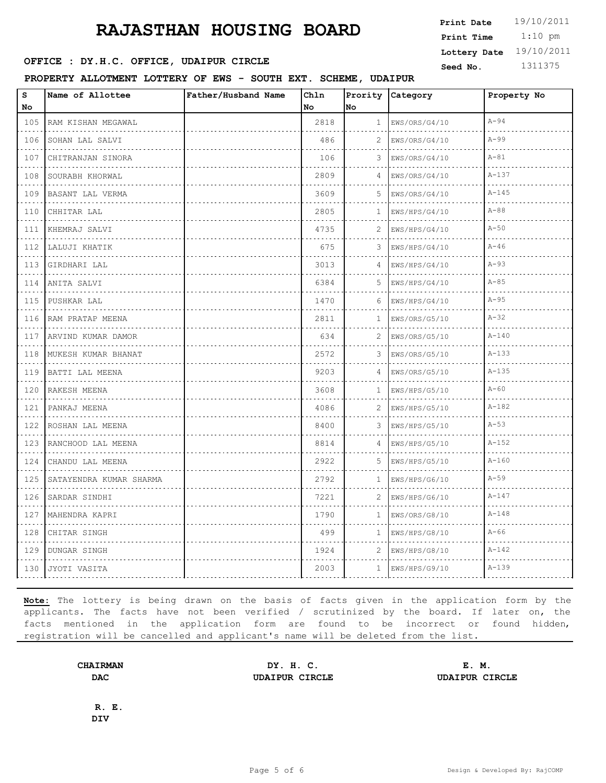**OFFICE : DY.H.C. OFFICE, UDAIPUR CIRCLE** Seed No. 1311375

**PROPERTY ALLOTMENT LOTTERY OF EWS - SOUTH EXT. SCHEME, UDAIPUR**

| S                                                                                                                                                                    | Name of Allottee        | Father/Husband Name | Chln |              | Prority Category   | Property No |
|----------------------------------------------------------------------------------------------------------------------------------------------------------------------|-------------------------|---------------------|------|--------------|--------------------|-------------|
| No                                                                                                                                                                   |                         |                     | No   | No           |                    |             |
| 105                                                                                                                                                                  | RAM KISHAN MEGAWAL<br>. |                     | 2818 | $\mathbf{1}$ | EWS/ORS/G4/10      | $A-94$      |
| 106                                                                                                                                                                  | SOHAN LAL SALVI         |                     | 486  | 2            | EWS/ORS/G4/10      | $A-99$      |
| 107<br>$\cdots$                                                                                                                                                      | CHITRANJAN SINORA       |                     | 106  | 3            | EWS/ORS/G4/10      | $A - 81$    |
| 108                                                                                                                                                                  | SOURABH KHORWAL<br>.    |                     | 2809 | 4            | EWS/ORS/G4/10      | $A - 137$   |
| 109                                                                                                                                                                  | BASANT LAL VERMA        |                     | 3609 | 5            | EWS/ORS/G4/10      | $A - 145$   |
| 110<br>$\sim$ $\sim$ $\sim$                                                                                                                                          | CHHITAR LAL<br>.        |                     | 2805 | 1            | EWS/HPS/G4/10      | $A - 88$    |
| 111<br>$\mathcal{L}^{\mathcal{A}}\left( \mathcal{L}^{\mathcal{A}}\right) \mathcal{L}^{\mathcal{A}}\left( \mathcal{L}^{\mathcal{A}}\right) \mathcal{L}^{\mathcal{A}}$ | KHEMRAJ SALVI<br>.      |                     | 4735 | 2            | EWS/HPS/G4/10<br>. | $A-50$      |
| 112                                                                                                                                                                  | LALUJI KHATIK           |                     | 675  | 3            | EWS/HPS/G4/10      | $A-46$      |
| 113                                                                                                                                                                  | GIRDHARI LAL            |                     | 3013 | 4            | EWS/HPS/G4/10      | $A-93$      |
| 114                                                                                                                                                                  | ANITA SALVI             |                     | 6384 | 5.           | EWS/HPS/G4/10      | $A - 85$    |
| $\sim$ $\sim$ $\sim$ $\sim$<br>115                                                                                                                                   | .<br>PUSHKAR LAL        |                     | 1470 | 6            | EWS/HPS/G4/10      | $A-95$      |
| 116                                                                                                                                                                  | RAM PRATAP MEENA        |                     | 2811 | 1            | EWS/ORS/G5/10      | $A - 32$    |
| 117                                                                                                                                                                  | ARVIND KUMAR DAMOR<br>. |                     | 634  | 2            | EWS/ORS/G5/10      | $A - 140$   |
| 118                                                                                                                                                                  | MUKESH KUMAR BHANAT     |                     | 2572 | 3            | EWS/ORS/G5/10      | $A - 133$   |
| 119                                                                                                                                                                  | BATTI LAL MEENA<br>.    |                     | 9203 | 4            | EWS/ORS/G5/10<br>. | $A - 135$   |
| 120                                                                                                                                                                  | RAKESH MEENA<br>.       |                     | 3608 | 1            | EWS/HPS/G5/10      | $A - 60$    |
| 121                                                                                                                                                                  | PANKAJ MEENA            |                     | 4086 | 2.           | EWS/HPS/G5/10      | $A - 182$   |
| 122                                                                                                                                                                  | ROSHAN LAL MEENA<br>.   |                     | 8400 | 3            | EWS/HPS/G5/10      | $A-53$      |
| 123                                                                                                                                                                  | RANCHOOD LAL MEENA      |                     | 8814 | 4            | EWS/HPS/G5/10      | $A - 152$   |
| 124                                                                                                                                                                  | .<br>CHANDU LAL MEENA   |                     | 2922 | 5            | EWS/HPS/G5/10      | $A - 160$   |
| 125                                                                                                                                                                  | SATAYENDRA KUMAR SHARMA |                     | 2792 | $\mathbf{1}$ | EWS/HPS/G6/10      | $A-59$      |
| 126                                                                                                                                                                  | .<br>SARDAR SINDHI      |                     | 7221 | 2            | EWS/HPS/G6/10      | $A - 147$   |
| 127                                                                                                                                                                  | .<br>MAHENDRA KAPRI     |                     | 1790 | $\mathbf{1}$ | EWS/ORS/G8/10      | $A - 148$   |
| 128                                                                                                                                                                  | CHITAR SINGH            |                     | 499  | 1            | EWS/HPS/G8/10      | $A-66$      |
| 129                                                                                                                                                                  | DUNGAR SINGH            |                     | 1924 | 2            | EWS/HPS/G8/10      | $A - 142$   |
| 130                                                                                                                                                                  | JYOTI VASITA            |                     | 2003 | $\mathbf{1}$ | EWS/HPS/G9/10      | $A - 139$   |

**Note:** The lottery is being drawn on the basis of facts given in the application form by the applicants. The facts have not been verified / scrutinized by the board. If later on, the facts mentioned in the application form are found to be incorrect or found hidden, registration will be cancelled and applicant's name will be deleted from the list.

**CHAIRMAN DY. H. C. E. M. DAC UDAIPUR CIRCLE UDAIPUR CIRCLE**

**R. E. DIV**